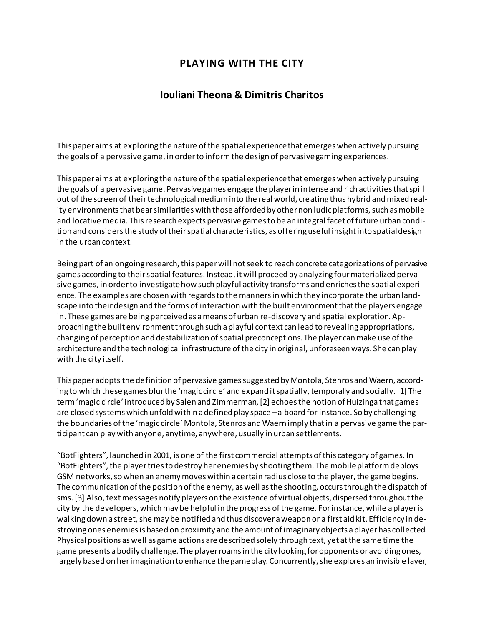## **PLAYING WITH THE CITY**

## **Iouliani Theona & Dimitris Charitos**

This paper aims at exploring the nature of the spatial experience that emerges when actively pursuing the goals of a pervasive game, in order to inform the design of pervasive gaming experiences.

This paper aims at exploring the nature of the spatial experience that emerges when actively pursuing the goals of a pervasive game. Pervasive games engage the player in intense and rich activities that spill out of the screen of their technological medium into the real world, creating thus hybrid and mixed reality environments that bear similarities with those afforded by other non ludic platforms, such as mobile and locative media. This research expects pervasive games to be an integral facet of future urban condition and considers the study of their spatial characteristics, as offering useful insight into spatial design in the urban context.

Being part of an ongoing research, this paper will not seek to reach concrete categorizations of pervasive games according to their spatial features. Instead, it will proceed by analyzing four materialized pervasive games, in order to investigate how such playful activity transforms and enriches the spatial experience. The examples are chosen with regards to the manners in which they incorporate the urban landscape into their design and the forms of interaction with the built environment that the players engage in. These games are being perceived as a means of urban re-discovery and spatial exploration. Approaching the built environment through such a playful context can lead to revealing appropriations, changing of perception and destabilization of spatial preconceptions. The player can make use of the architecture and the technological infrastructure of the city in original, unforeseen ways. She can play with the city itself.

This paper adopts the definition of pervasive games suggested by Montola, Stenros and Waern, according to which these games blur the 'magic circle' and expand it spatially, temporally and socially. [1] The term 'magic circle' introduced by Salen and Zimmerman, [2] echoes the notion of Huizinga that games are closed systems which unfold within a defined play space –a board for instance. So by challenging the boundaries of the 'magic circle' Montola, Stenros and Waern imply that in a pervasive game the participant can play with anyone, anytime, anywhere, usually in urban settlements.

"BotFighters", launched in 2001, is one of the first commercial attempts of this category of games. In "BotFighters", the player tries to destroy her enemies by shooting them. The mobile platform deploys GSM networks, so when an enemy moves within a certain radius close to the player, the game begins. The communication of the position of the enemy, as well as the shooting, occurs through the dispatch of sms. [3] Also, text messages notify players on the existence of virtual objects, dispersed throughout the city by the developers, which may be helpful in the progress of the game. For instance, while a player is walking down a street, she may be notified and thus discover a weapon or a first aid kit. Efficiency in destroying ones enemies is based on proximity and the amount of imaginary objects a player has collected. Physical positions as well as game actions are described solely through text, yet at the same time the game presents a bodily challenge. The player roams in the city looking for opponents or avoiding ones, largely based on her imagination to enhance the gameplay. Concurrently, she explores an invisible layer,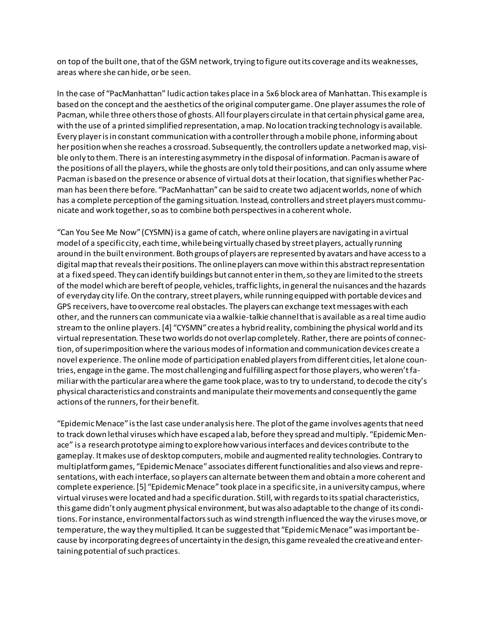on top of the built one, that of the GSM network, trying to figure out its coverage and its weaknesses, areas where she can hide, or be seen.

In the case of "PacManhattan" ludic action takes place in a 5x6 block area of Manhattan. This example is based on the concept and the aesthetics of the original computer game. One player assumes the role of Pacman, while three others those of ghosts. All four players circulate in that certain physical game area, with the use of a printed simplified representation, a map. No location tracking technology is available. Every player is in constant communication with a controller through a mobile phone, informing about her position when she reaches a crossroad. Subsequently, the controllers update a networked map, visible only to them. There is an interesting asymmetry in the disposal of information. Pacman is aware of the positions of all the players, while the ghosts are only told their positions, and can only assume where Pacman is based on the presence or absence of virtual dots at their location, that signifies whether Pacman has been there before. "PacManhattan" can be said to create two adjacent worlds, none of which has a complete perception of the gaming situation. Instead, controllers and street players must communicate and work together, so as to combine both perspectives in a coherent whole.

"Can You See Me Now" (CYSMN) is a game of catch, where online players are navigating in a virtual model of a specific city, each time, while being virtually chased by street players, actually running around in the built environment. Both groups of players are represented by avatars and have access to a digital map that reveals their positions. The online players can move within this abstract representation at a fixed speed. They can identify buildings but cannot enter in them, so they are limited to the streets of the model which are bereft of people, vehicles, traffic lights, in general the nuisances and the hazards of everyday city life. On the contrary, street players, while running equipped with portable devices and GPS receivers, have to overcome real obstacles. The players can exchange text messages with each other, and the runners can communicate via a walkie-talkie channel that is available as a real time audio stream to the online players. [4] "CYSMN" creates a hybrid reality, combining the physical world and its virtual representation. These two worlds do not overlap completely. Rather, there are points of connection, of superimposition where the various modes of information and communication devices create a novel experience. The online mode of participation enabled players from different cities, let alone countries, engage in the game. The most challenging and fulfilling aspect for those players, who weren't familiar with the particular area where the game took place, was to try to understand, to decode the city's physical characteristics and constraints and manipulate their movements and consequently the game actions of the runners, for their benefit.

"Epidemic Menace" is the last case under analysis here. The plot of the game involves agents that need to track down lethal viruses which have escaped a lab, before they spread and multiply. "Epidemic Menace" is a research prototype aiming to explore how various interfaces and devices contribute to the gameplay. It makes use of desktop computers, mobile and augmented reality technologies. Contrary to multiplatform games, "Epidemic Menace" associates different functionalities and also views and representations, with each interface, so players can alternate between them and obtain a more coherent and complete experience. [5] "Epidemic Menace" took place in a specific site, in a university campus, where virtual viruses were located and had a specific duration. Still, with regards to its spatial characteristics, this game didn't only augment physical environment, but was also adaptable to the change of its conditions. For instance, environmental factors such as wind strength influenced the way the viruses move, or temperature, the way they multiplied. It can be suggested that "Epidemic Menace" was important because by incorporating degrees of uncertainty in the design, this game revealed the creative and entertaining potential of such practices.